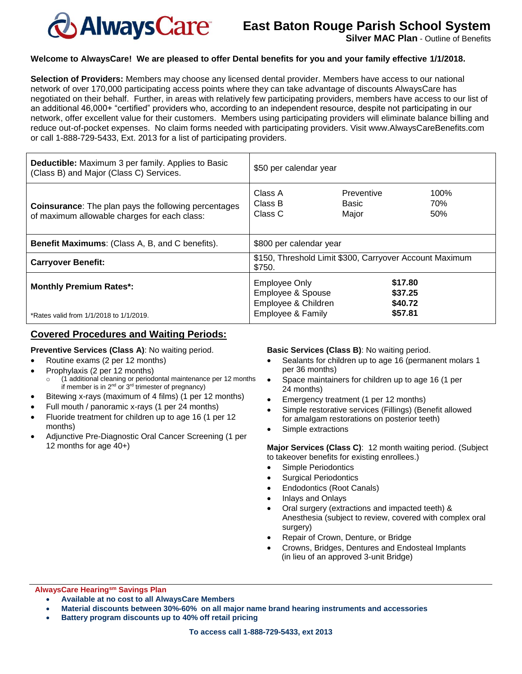

# **East Baton Rouge Parish School System**

**Silver MAC Plan - Outline of Benefits** 

## **Welcome to AlwaysCare! We are pleased to offer Dental benefits for you and your family effective 1/1/2018.**

**Selection of Providers:** Members may choose any licensed dental provider. Members have access to our national network of over 170,000 participating access points where they can take advantage of discounts AlwaysCare has negotiated on their behalf. Further, in areas with relatively few participating providers, members have access to our list of an additional 46,000+ "certified" providers who, according to an independent resource, despite not participating in our network, offer excellent value for their customers. Members using participating providers will eliminate balance billing and reduce out-of-pocket expenses. No claim forms needed with participating providers. Visit www.AlwaysCareBenefits.com or call 1-888-729-5433, Ext. 2013 for a list of participating providers.

| <b>Deductible:</b> Maximum 3 per family. Applies to Basic<br>(Class B) and Major (Class C) Services.        | \$50 per calendar year                                                                           |                                          |                    |
|-------------------------------------------------------------------------------------------------------------|--------------------------------------------------------------------------------------------------|------------------------------------------|--------------------|
| <b>Coinsurance:</b> The plan pays the following percentages<br>of maximum allowable charges for each class: | Class A<br>Class B<br>Class C                                                                    | <b>Preventive</b><br>Basic<br>Major      | 100%<br>70%<br>50% |
| <b>Benefit Maximums:</b> (Class A, B, and C benefits).                                                      | \$800 per calendar year                                                                          |                                          |                    |
| <b>Carryover Benefit:</b>                                                                                   | \$150, Threshold Limit \$300, Carryover Account Maximum<br>\$750.                                |                                          |                    |
| <b>Monthly Premium Rates*:</b><br>*Rates valid from 1/1/2018 to 1/1/2019.                                   | <b>Employee Only</b><br>Employee & Spouse<br>Employee & Children<br><b>Employee &amp; Family</b> | \$17.80<br>\$37.25<br>\$40.72<br>\$57.81 |                    |

# **Covered Procedures and Waiting Periods:**

# **Preventive Services (Class A)**: No waiting period.

- Routine exams (2 per 12 months)
- Prophylaxis (2 per 12 months)
	- (1 additional cleaning or periodontal maintenance per 12 months if member is in  $2^{nd}$  or  $3^{rd}$  trimester of pregnancy)
- Bitewing x-rays (maximum of 4 films) (1 per 12 months)
- Full mouth / panoramic x-rays (1 per 24 months)
- Fluoride treatment for children up to age 16 (1 per 12 months)
- Adjunctive Pre-Diagnostic Oral Cancer Screening (1 per 12 months for age 40+)

**Basic Services (Class B)**: No waiting period.

- Sealants for children up to age 16 (permanent molars 1 per 36 months)
- Space maintainers for children up to age 16 (1 per 24 months)
- Emergency treatment (1 per 12 months)
- Simple restorative services (Fillings) (Benefit allowed for amalgam restorations on posterior teeth)
- Simple extractions

**Major Services (Class C)**: 12 month waiting period. (Subject to takeover benefits for existing enrollees.)

- Simple Periodontics
- Surgical Periodontics
- Endodontics (Root Canals)
- Inlays and Onlays
- Oral surgery (extractions and impacted teeth) & Anesthesia (subject to review, covered with complex oral surgery)
- Repair of Crown, Denture, or Bridge
- Crowns, Bridges, Dentures and Endosteal Implants (in lieu of an approved 3-unit Bridge)

**AlwaysCare Hearingsm Savings Plan**

- **Available at no cost to all AlwaysCare Members**
- **Material discounts between 30%-60% on all major name brand hearing instruments and accessories**
- **Battery program discounts up to 40% off retail pricing**